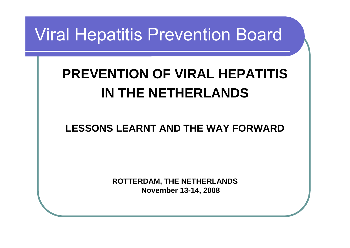### Viral Hepatitis Prevention Board

### **PREVENTION OF VIRAL HEPATITIS IN THE NETHERLANDS**

### **LESSONS LEARNT AND THE WAY FORWARD**

**ROTTERDAM, THE NETHERLANDS November 13-14, 2008**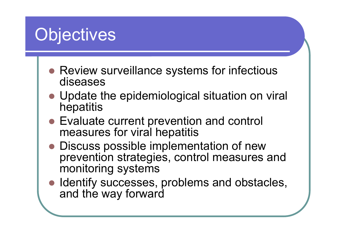# **Objectives**

- Review surveillance systems for infectious diseases
- Update the epidemiological situation on viral hepatitis
- Evaluate current prevention and control measures for viral hepatitis
- Discuss possible implementation of new prevention strategies, control measures and monitoring systems
- Identify successes, problems and obstacles, and the way forward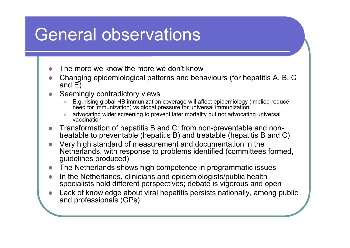### General observations

- zThe more we know the more we don't know
- z Changing epidemiological patterns and behaviours (for hepatitis A, B, C and E)
- z Seemingly contradictory views
	- $\bullet$  E.g. rising global HB immunization coverage will affect epidemiology (implied reduce need for immunization) vs global pressure for universal immunization
	- $\bullet$  advocating wider screening to prevent later mortality but not advocating universal vaccination
- z Transformation of hepatitis B and C: from non-preventable and nontreatable to preventable (hepatitis B) and treatable (hepatitis B and C)
- z Very high standard of measurement and documentation in the Netherlands, with response to problems identified (committees formed, guidelines produced)
- **z** The Netherlands shows high competence in programmatic issues
- z In the Netherlands, clinicians and epidemiologists/public health specialists hold different perspectives; debate is vigorous and open
- z Lack of knowledge about viral hepatitis persists nationally, among public and professionals (GPs)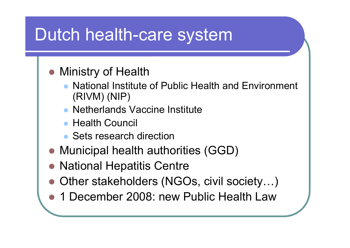## Dutch health-care system

- Ministry of Health
	- $\bullet$  National Institute of Public Health and Environment (RIVM) (NIP)
	- $\bullet$ Netherlands Vaccine Institute
	- Health Council
	- Sets research direction
- Municipal health authorities (GGD)
- National Hepatitis Centre
- Other stakeholders (NGOs, civil society...)
- 1 December 2008: new Public Health Law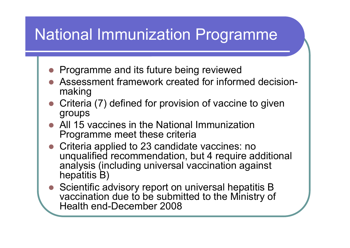### National Immunization Programme

- O Programme and its future being reviewed
- $\bullet$  Assessment framework created for informed decisionmaking
- Criteria (7) defined for provision of vaccine to given groups
- $\bullet$  All 15 vaccines in the National Immunization Programme meet these criteria
- Criteria applied to 23 candidate vaccines: no unqualified recommendation, but 4 require additional analysis (including universal vaccination against hepatitis B)
- Scientific advisory report on universal hepatitis B vaccination due to be submitted to the Ministry of Health end-December 2008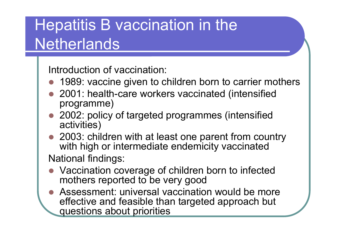### Hepatitis B vaccination in the Netherlands

Introduction of vaccination:

- $\bullet$ 1989: vaccine given to children born to carrier mothers
- z 2001: health-care workers vaccinated (intensified programme)
- 2002: policy of targeted programmes (intensified activities)
- 2003: children with at least one parent from country with high or intermediate endemicity vaccinated National findings:
- O Vaccination coverage of children born to infected mothers reported to be very good
- O Assessment: universal vaccination would be more effective and feasible than targeted approach but questions about priorities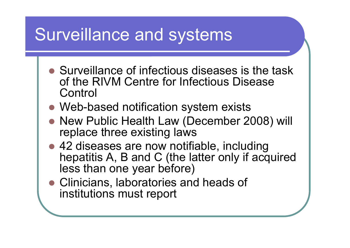# Surveillance and systems

- Surveillance of infectious diseases is the task of the RIVM Centre for Infectious Disease **Control**
- Web-based notification system exists
- New Public Health Law (December 2008) will replace three existing laws
- 42 diseases are now notifiable, including hepatitis A, B and C (the latter only if acquired less than one year before)
- Clinicians, laboratories and heads of institutions must report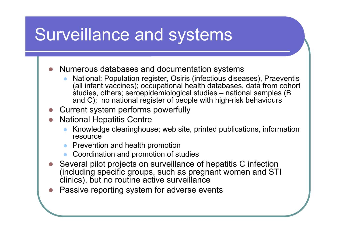# Surveillance and systems

**z** Numerous databases and documentation systems

- $\bullet$  National: Population register, Osiris (infectious diseases), Praeventis (all infant vaccines); occupational health databases, data from cohort studies, others; seroepidemiological studies – national samples (B and C); no national register of people with high-risk behaviours
- **z** Current system performs powerfully
- **z**  National Hepatitis Centre
	- $\bullet$  Knowledge clearinghouse; web site, printed publications, information resource
	- $\bullet$ Prevention and health promotion
	- $\bullet$ Coordination and promotion of studies
- **z**  Several pilot projects on surveillance of hepatitis C infection (including specific groups, such as pregnant women and STI clinics), but no routine active surveillance
- zPassive reporting system for adverse events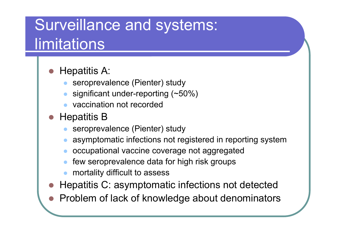### Surveillance and systems: limitations

#### O Hepatitis A:

- $\bullet$ seroprevalence (Pienter) study
- $\bullet$ significant under-reporting (~50%)
- $\bullet$ vaccination not recorded
- $\bullet$  Hepatitis B
	- $\bullet$ seroprevalence (Pienter) study
	- $\bullet$ asymptomatic infections not registered in reporting system
	- $\bullet$ occupational vaccine coverage not aggregated
	- $\bullet$ few seroprevalence data for high risk groups
	- $\bullet$ mortality difficult to assess
- $\bullet$ Hepatitis C: asymptomatic infections not detected
- $\bullet$ Problem of lack of knowledge about denominators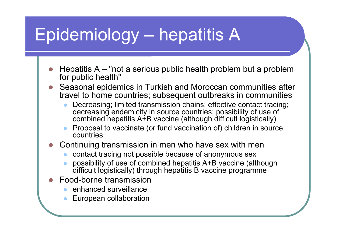# Epidemiology – hepatitis A

- **z**  Hepatitis A – "not a serious public health problem but a problem for public health"
- z Seasonal epidemics in Turkish and Moroccan communities after travel to home countries; subsequent outbreaks in communities
	- $\bullet$  Decreasing; limited transmission chains; effective contact tracing; decreasing endemicity in source countries; possibility of use of combined hepatitis A+B vaccine (although difficult logistically)
	- $\bullet$  Proposal to vaccinate (or fund vaccination of) children in source countries
- **z**  Continuing transmission in men who have sex with men
	- $\bullet$ contact tracing not possible because of anonymous sex
	- $\bullet$  possibility of use of combined hepatitis A+B vaccine (although difficult logistically) through hepatitis B vaccine programme
- z Food-borne transmission
	- $\bullet$ enhanced surveillance
	- $\bullet$ European collaboration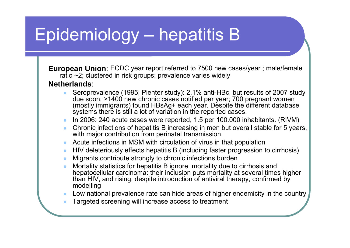# Epidemiology – hepatitis B

**European Union**: ECDC year report referred to 7500 new cases/year ; male/female ratio ~2; clustered in risk groups; prevalence varies widely

#### **Netherlands**:

- $\bullet$  Seroprevalence (1995; Pienter study): 2.1% anti-HBc, but results of 2007 study due soon; >1400 new chronic cases notified per year; 700 pregnant women (mostly immigrants) found HBsAg+ each year. Despite the different database systems there is still a lot of variation in the reported cases.
- $\bullet$ In 2006: 240 acute cases were reported, 1.5 per 100.000 inhabitants. (RIVM)
- z Chronic infections of hepatitis B increasing in men but overall stable for 5 years, with major contribution from perinatal transmission
- $\bullet$ Acute infections in MSM with circulation of virus in that population
- $\bullet$ HIV deleteriously effects hepatitis B (including faster progression to cirrhosis)
- $\bullet$ Migrants contribute strongly to chronic infections burden
- $\bullet$  Mortality statistics for hepatitis B ignore mortality due to cirrhosis and hepatocellular carcinoma: their inclusion puts mortality at several times higher than HIV, and rising, despite introduction of antiviral therapy; confirmed by modelling
- $\bullet$ Low national prevalence rate can hide areas of higher endemicity in the country
- zTargeted screening will increase access to treatment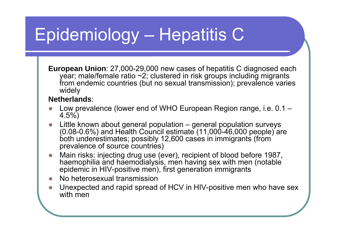# Epidemiology – Hepatitis C

**European Union**: 27,000-29,000 new cases of hepatitis C diagnosed each year; male/female ratio  $\sim 2$ ; clustered in risk groups including migrants from endemic countries (but no sexual transmission); prevalence varies widely

#### **Netherlands**:

- ●• Low prevalence (lower end of WHO European Region range, i.e. 0.1 – 4.5%)
- ● Little known about general population – general population surveys  $(0.08-0.6%)$  and Health Council estimate  $(11,000-46,000$  people) are both underestimates; possibly 12,600 cases in immigrants (from prevalence of source countries)
- ● Main risks: injecting drug use (ever), recipient of blood before 1987, haemophilia and haemodialysis, men having sex with men (notable epidemic in HIV-positive men), first generation immigrants
- ●No heterosexual transmission
- ● Unexpected and rapid spread of HCV in HIV-positive men who have sex with men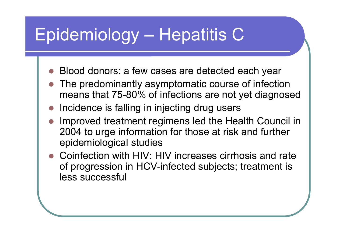# Epidemiology – Hepatitis C

- zBlood donors: a few cases are detected each year
- $\bullet$  The predominantly asymptomatic course of infection means that 75-80% of infections are not yet diagnosed
- $\bullet$ Incidence is falling in injecting drug users
- O Improved treatment regimens led the Health Council in 2004 to urge information for those at risk and further epidemiological studies
- $\bullet$  Coinfection with HIV: HIV increases cirrhosis and rate of progression in HCV-infected subjects; treatment is less successful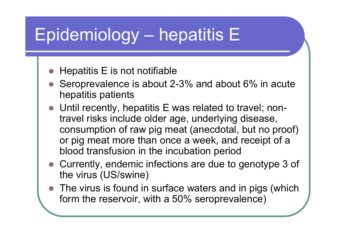# Epidemiology – hepatitis E

- zHepatitis E is not notifiable
- Seroprevalence is about 2-3% and about  $6\%$  in acute hepatitis patients
- Until recently, hepatitis E was related to travel; nontravel risks include older age, underlying disease, consumption of raw pig meat (anecdotal, but no proof) or pig meat more than once a week, and receipt of a blood transfusion in the incubation period
- Currently, endemic infections are due to genotype 3 of the virus (US/swine)
- $\bullet$  The virus is found in surface waters and in pigs (which form the reservoir, with a 50% seroprevalence)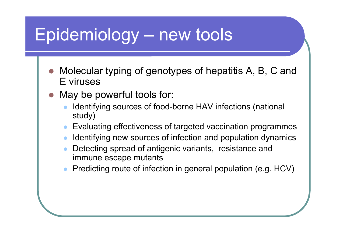# Epidemiology – new tools

- z Molecular typing of genotypes of hepatitis A, B, C and E viruses
- $\bullet$  May be powerful tools for:
	- $\bullet$  Identifying sources of food-borne HAV infections (national study)
	- $\bullet$ Evaluating effectiveness of targeted vaccination programmes
	- $\bullet$ Identifying new sources of infection and population dynamics
	- $\bullet$  Detecting spread of antigenic variants, resistance and immune escape mutants
	- $\bullet$ Predicting route of infection in general population (e.g. HCV)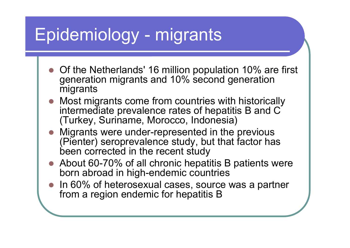# Epidemiology - migrants

- Of the Netherlands' 16 million population 10% are first generation migrants and 10% second generation migrants
- Most migrants come from countries with historically intermediate prevalence rates of hepatitis B and C (Turkey, Suriname, Morocco, Indonesia)
- Migrants were under-represented in the previous (Pienter) seroprevalence study, but that factor has been corrected in the recent study
- About 60-70% of all chronic hepatitis B patients were born abroad in high-endemic countries
- In 60% of heterosexual cases, source was a partner from a region endemic for hepatitis B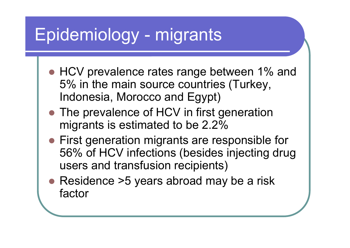# Epidemiology - migrants

- HCV prevalence rates range between 1% and 5% in the main source countries (Turkey, Indonesia, Morocco and Egypt)
- The prevalence of HCV in first generation migrants is estimated to be 2.2%
- First generation migrants are responsible for 56% of HCV infections (besides injecting drug users and transfusion recipients)
- Residence >5 years abroad may be a risk factor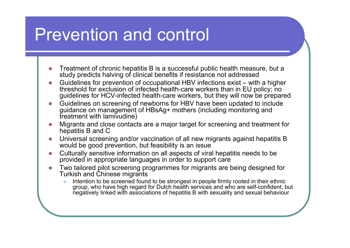### Prevention and control

- z Treatment of chronic hepatitis B is a successful public health measure, but a study predicts halving of clinical benefits if resistance not addressed
- z Guidelines for prevention of occupational HBV infections exist – with a higher threshold for exclusion of infected health-care workers than in EU policy; no guidelines for HCV-infected health-care workers, but they will now be prepared
- z Guidelines on screening of newborns for HBV have been updated to include guidance on management of HBsAg+ mothers (including monitoring and treatment with lamivudine)
- z Migrants and close contacts are a major target for screening and treatment for hepatitis B and C
- z Universal screening and/or vaccination of all new migrants against hepatitis B would be good prevention, but feasibility is an issue
- z Culturally sensitive information on all aspects of viral hepatitis needs to be provided in appropriate languages in order to support care
- z Two tailored pilot screening programmes for migrants are being designed for Turkish and Chinese migrants
	- $\bullet$  Intention to be screened found to be strongest in people firmly rooted in their ethnic group, who have high regard for Dutch health services and who are self-confident, but negatively linked with associations of hepatitis B with sexuality and sexual behaviour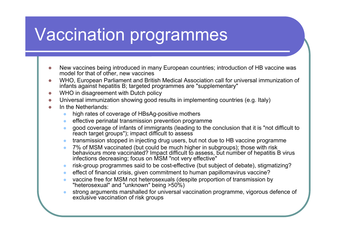# Vaccination programmes

- z New vaccines being introduced in many European countries; introduction of HB vaccine was model for that of other, new vaccines
- z WHO, European Parliament and British Medical Association call for universal immunization of infants against hepatitis B; targeted programmes are "supplementary"
- zWHO in disagreement with Dutch policy
- O Universal immunization showing good results in implementing countries (e.g. Italy)
- z In the Netherlands:
	- $\bullet$ high rates of coverage of HBsAg-positive mothers
	- $\bullet$ effective perinatal transmission prevention programme
	- $\bullet$  good coverage of infants of immigrants (leading to the conclusion that it is "not difficult to reach target groups"); impact difficult to assess
	- $\bullet$ transmission stopped in injecting drug users, but not due to HB vaccine programme
	- $\bullet$ • 7% of MSM vaccinated (but could be much higher in subgroups); those with risk behaviours more vaccinated? Impact difficult to assess, but number of hepatitis B virus infections decreasing; focus on MSM "not very effective"
	- $\bullet$ risk-group programmes said to be cost-effective (but subject of debate), stigmatizing?
	- $\bullet$ effect of financial crisis, given commitment to human papillomavirus vaccine?
	- $\bullet$  vaccine free for MSM not heterosexuals (despite proportion of transmission by "heterosexual" and "unknown" being >50%)
	- $\bullet$  strong arguments marshalled for universal vaccination programme, vigorous defence of exclusive vaccination of risk groups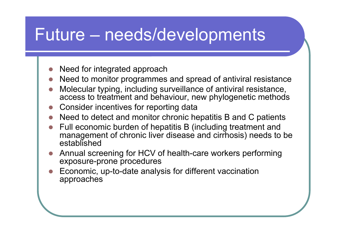### Future – needs/developments

- **z** Need for integrated approach
- **z** Need to monitor programmes and spread of antiviral resistance
- **z**  Molecular typing, including surveillance of antiviral resistance, access to treatment and behaviour, new phylogenetic methods
- zConsider incentives for reporting data
- zNeed to detect and monitor chronic hepatitis B and C patients
- z Full economic burden of hepatitis B (including treatment and management of chronic liver disease and cirrhosis) needs to be established
- z Annual screening for HCV of health-care workers performing exposure-prone procedures
- z Economic, up-to-date analysis for different vaccination approaches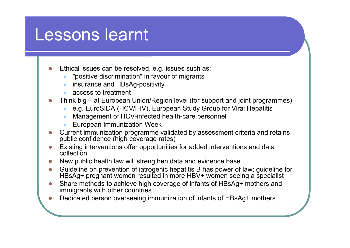### Lessons learnt

zEthical issues can be resolved, e.g. issues such as:

- $\bullet$ "positive discrimination" in favour of migrants
- $\bullet$ insurance and HBsAg-positivity
- $\bullet$ access to treatment
- z Think big – at European Union/Region level (for support and joint programmes)
	- ze.g. EuroSIDA (HCV/HIV), European Study Group for Viral Hepatitis
	- $\bullet$ Management of HCV-infected health-care personnel
	- $\bullet$ European Immunization Week
- z Current immunization programme validated by assessment criteria and retains public confidence (high coverage rates)
- z Existing interventions offer opportunities for added interventions and data collection
- zNew public health law will strengthen data and evidence base
- z Guideline on prevention of iatrogenic hepatitis B has power of law; guideline for HBsAg+ pregnant women resulted in more HBV+ women seeing a specialist
- z Share methods to achieve high coverage of infants of HBsAg+ mothers and immigrants with other countries
- zDedicated person overseeing immunization of infants of HBsAg+ mothers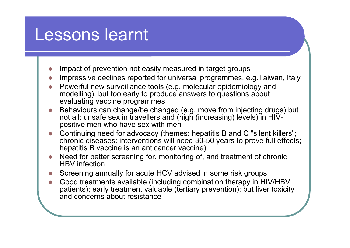### Lessons learnt

- zImpact of prevention not easily measured in target groups
- zImpressive declines reported for universal programmes, e.g.Taiwan, Italy
- z Powerful new surveillance tools (e.g. molecular epidemiology and modelling), but too early to produce answers to questions about evaluating vaccine programmes
- **z**  Behaviours can change/be changed (e.g. move from injecting drugs) but not all: unsafe sex in travellers and (high (increasing) levels) in HIVpositive men who have sex with men
- z Continuing need for advocacy (themes: hepatitis B and C "silent killers"; chronic diseases: interventions will need 30-50 years to prove full effects; hepatitis B vaccine is an anticancer vaccine)
- z Need for better screening for, monitoring of, and treatment of chronic HBV infection
- zScreening annually for acute HCV advised in some risk groups
- z Good treatments available (including combination therapy in HIV/HBV patients); early treatment valuable (tertiary prevention); but liver toxicity and concerns about resistance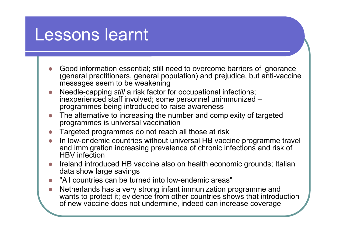### Lessons learnt

- z Good information essential; still need to overcome barriers of ignorance (general practitioners, general population) and prejudice, but anti-vaccine messages seem to be weakening
- z Needle-capping *still* a risk factor for occupational infections; inexperienced staff involved; some personnel unimmunized – programmes being introduced to raise awareness
- z The alternative to increasing the number and complexity of targeted programmes is universal vaccination
- zTargeted programmes do not reach all those at risk
- z In low-endemic countries without universal HB vaccine programme travel and immigration increasing prevalence of chronic infections and risk of HBV infection
- z Ireland introduced HB vaccine also on health economic grounds; Italian data show large savings
- **z** "All countries can be turned into low-endemic areas"
- z• Netherlands has a very strong infant immunization programme and wants to protect it; evidence from other countries shows that introduction of new vaccine does not undermine, indeed can increase coverage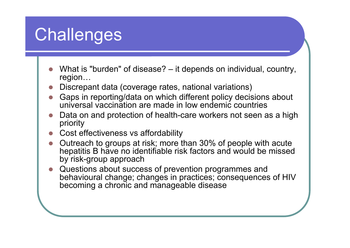# **Challenges**

- **z**  What is "burden" of disease? – it depends on individual, country, region…
- zDiscrepant data (coverage rates, national variations)
- z Gaps in reporting/data on which different policy decisions about universal vaccination are made in low endemic countries
- **z**  Data on and protection of health-care workers not seen as a high priority
- Cost effectiveness vs affordability
- z• Outreach to groups at risk; more than 30% of people with acute hepatitis B have no identifiable risk factors and would be missed by risk-group approach
- **z**  Questions about success of prevention programmes and behavioural change; changes in practices; consequences of HIV becoming a chronic and manageable disease